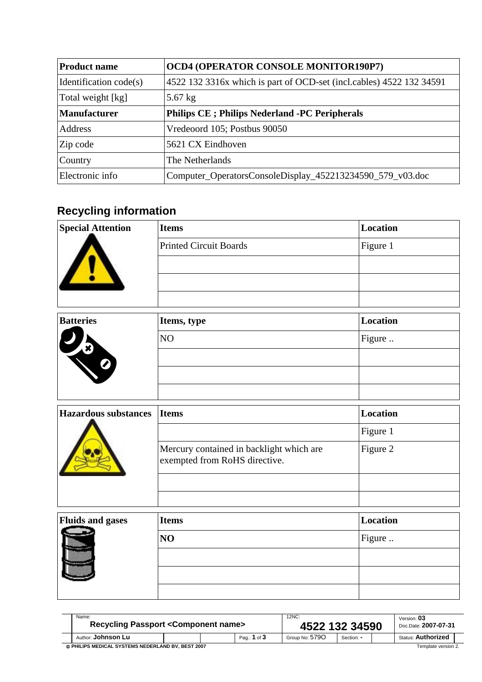| <b>Product name</b>    | <b>OCD4 (OPERATOR CONSOLE MONITOR190P7)</b>                          |  |  |  |  |  |
|------------------------|----------------------------------------------------------------------|--|--|--|--|--|
| Identification code(s) | 4522 132 3316x which is part of OCD-set (incl.cables) 4522 132 34591 |  |  |  |  |  |
| Total weight [kg]      | $5.67$ kg                                                            |  |  |  |  |  |
| <b>Manufacturer</b>    | <b>Philips CE</b> ; Philips Nederland -PC Peripherals                |  |  |  |  |  |
| Address                | Vredeoord 105; Postbus 90050                                         |  |  |  |  |  |
| Zip code               | 5621 CX Eindhoven                                                    |  |  |  |  |  |
| Country                | The Netherlands                                                      |  |  |  |  |  |
| Electronic info        | Computer_OperatorsConsoleDisplay_452213234590_579_v03.doc            |  |  |  |  |  |

## **Recycling information**

| <b>Special Attention</b> | <b>Items</b>                  | Location |
|--------------------------|-------------------------------|----------|
|                          | <b>Printed Circuit Boards</b> | Figure 1 |
|                          |                               |          |
|                          |                               |          |
|                          |                               |          |

| <b>Batteries</b>                  | Items, type | Location |
|-----------------------------------|-------------|----------|
| $\boldsymbol{z}$<br>$\frac{1}{2}$ | NO          | Figure   |
| Ø                                 |             |          |
|                                   |             |          |
|                                   |             |          |

| <b>Hazardous substances</b> | <b>I</b> Items                                                            | Location |
|-----------------------------|---------------------------------------------------------------------------|----------|
|                             |                                                                           | Figure 1 |
|                             | Mercury contained in backlight which are<br>exempted from RoHS directive. | Figure 2 |
|                             |                                                                           |          |
|                             |                                                                           |          |

| Fluids and gases<br>----- | <b>Items</b> | Location |
|---------------------------|--------------|----------|
|                           | NO           | Figure   |
|                           |              |          |
|                           |              |          |
|                           |              |          |

| Name:<br><b>Recycling Passport &lt; Component name&gt;</b> |  |  | 12NC:<br>4522 132 34590 |                     |            | Version: 03<br>Doc.Date: 2007-07-31 |                           |  |
|------------------------------------------------------------|--|--|-------------------------|---------------------|------------|-------------------------------------|---------------------------|--|
| Author: Johnson Lu                                         |  |  | Pag.: 1 of 3            | Group No: 579O      | Section: - |                                     | <b>Status: Authorized</b> |  |
| © PHILIPS MEDICAL SYSTEMS NEDERLAND BV. BEST 2007          |  |  |                         | Template version 2. |            |                                     |                           |  |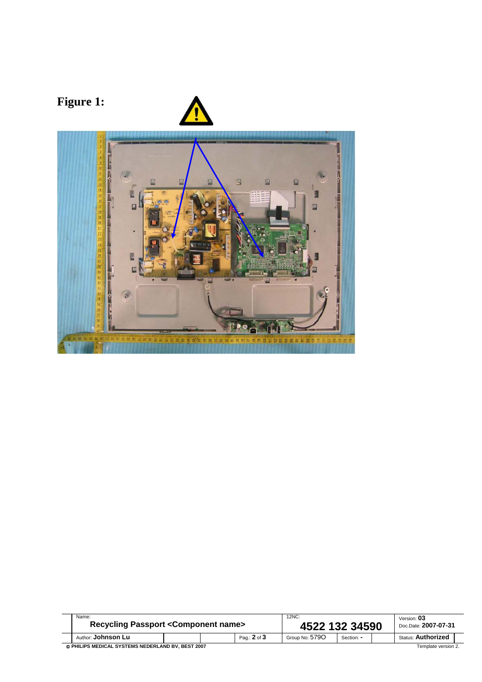

| Name:<br><b>Recycling Passport &lt; Component name&gt;</b>               |  |  | 12NC:<br>4522 132 34590 |                |            | Version: 03<br>Doc.Date: 2007-07-31 |                           |  |
|--------------------------------------------------------------------------|--|--|-------------------------|----------------|------------|-------------------------------------|---------------------------|--|
| Author: <b>Johnson Lu</b>                                                |  |  | Pag.: 2 of 3            | Group No: 5790 | Section: - |                                     | <b>Status: Authorized</b> |  |
| © PHILIPS MEDICAL SYSTEMS NEDERLAND BV. BEST 2007<br>Template version 2. |  |  |                         |                |            |                                     |                           |  |